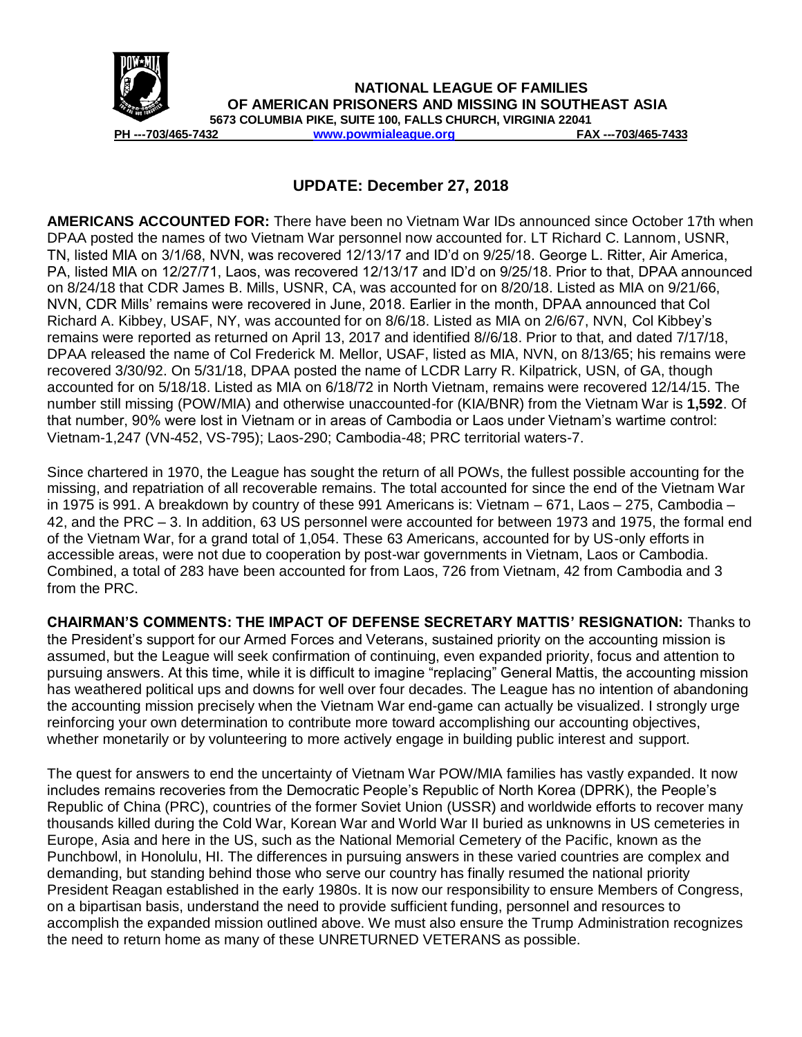

**NATIONAL LEAGUE OF FAMILIES OF AMERICAN PRISONERS AND MISSING IN SOUTHEAST ASIA 5673 COLUMBIA PIKE, SUITE 100, FALLS CHURCH, VIRGINIA 22041 PH ---703/465-7432 [www.powmialeague.org](http://www.powmialeague.org/) FAX ---703/465-7433**

## **UPDATE: December 27, 2018**

**AMERICANS ACCOUNTED FOR:** There have been no Vietnam War IDs announced since October 17th when DPAA posted the names of two Vietnam War personnel now accounted for. LT Richard C. Lannom, USNR, TN, listed MIA on 3/1/68, NVN, was recovered 12/13/17 and ID'd on 9/25/18. George L. Ritter, Air America, PA, listed MIA on 12/27/71, Laos, was recovered 12/13/17 and ID'd on 9/25/18. Prior to that, DPAA announced on 8/24/18 that CDR James B. Mills, USNR, CA, was accounted for on 8/20/18. Listed as MIA on 9/21/66, NVN, CDR Mills' remains were recovered in June, 2018. Earlier in the month, DPAA announced that Col Richard A. Kibbey, USAF, NY, was accounted for on 8/6/18. Listed as MIA on 2/6/67, NVN, Col Kibbey's remains were reported as returned on April 13, 2017 and identified 8//6/18. Prior to that, and dated 7/17/18, DPAA released the name of Col Frederick M. Mellor, USAF, listed as MIA, NVN, on 8/13/65; his remains were recovered 3/30/92. On 5/31/18, DPAA posted the name of LCDR Larry R. Kilpatrick, USN, of GA, though accounted for on 5/18/18. Listed as MIA on 6/18/72 in North Vietnam, remains were recovered 12/14/15. The number still missing (POW/MIA) and otherwise unaccounted-for (KIA/BNR) from the Vietnam War is **1,592**. Of that number, 90% were lost in Vietnam or in areas of Cambodia or Laos under Vietnam's wartime control: Vietnam-1,247 (VN-452, VS-795); Laos-290; Cambodia-48; PRC territorial waters-7.

Since chartered in 1970, the League has sought the return of all POWs, the fullest possible accounting for the missing, and repatriation of all recoverable remains. The total accounted for since the end of the Vietnam War in 1975 is 991. A breakdown by country of these 991 Americans is: Vietnam – 671, Laos – 275, Cambodia – 42, and the PRC – 3. In addition, 63 US personnel were accounted for between 1973 and 1975, the formal end of the Vietnam War, for a grand total of 1,054. These 63 Americans, accounted for by US-only efforts in accessible areas, were not due to cooperation by post-war governments in Vietnam, Laos or Cambodia. Combined, a total of 283 have been accounted for from Laos, 726 from Vietnam, 42 from Cambodia and 3 from the PRC.

**CHAIRMAN'S COMMENTS: THE IMPACT OF DEFENSE SECRETARY MATTIS' RESIGNATION:** Thanks to the President's support for our Armed Forces and Veterans, sustained priority on the accounting mission is assumed, but the League will seek confirmation of continuing, even expanded priority, focus and attention to pursuing answers. At this time, while it is difficult to imagine "replacing" General Mattis, the accounting mission has weathered political ups and downs for well over four decades. The League has no intention of abandoning the accounting mission precisely when the Vietnam War end-game can actually be visualized. I strongly urge reinforcing your own determination to contribute more toward accomplishing our accounting objectives, whether monetarily or by volunteering to more actively engage in building public interest and support.

The quest for answers to end the uncertainty of Vietnam War POW/MIA families has vastly expanded. It now includes remains recoveries from the Democratic People's Republic of North Korea (DPRK), the People's Republic of China (PRC), countries of the former Soviet Union (USSR) and worldwide efforts to recover many thousands killed during the Cold War, Korean War and World War II buried as unknowns in US cemeteries in Europe, Asia and here in the US, such as the National Memorial Cemetery of the Pacific, known as the Punchbowl, in Honolulu, HI. The differences in pursuing answers in these varied countries are complex and demanding, but standing behind those who serve our country has finally resumed the national priority President Reagan established in the early 1980s. It is now our responsibility to ensure Members of Congress, on a bipartisan basis, understand the need to provide sufficient funding, personnel and resources to accomplish the expanded mission outlined above. We must also ensure the Trump Administration recognizes the need to return home as many of these UNRETURNED VETERANS as possible.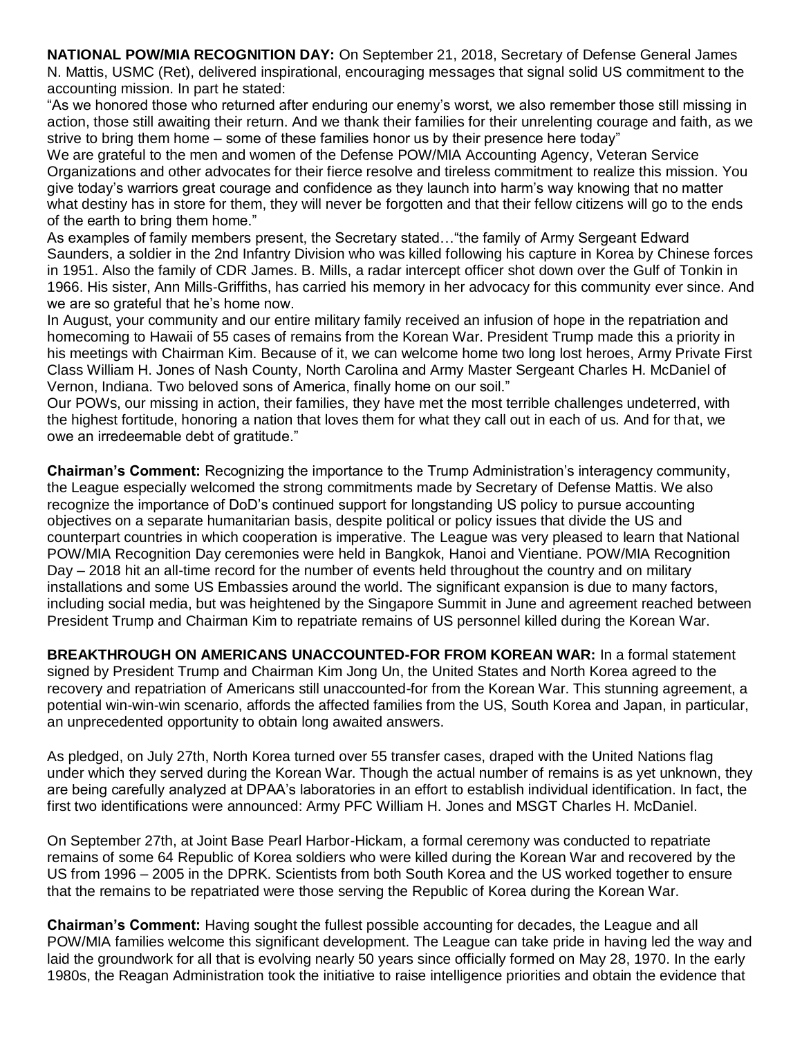**NATIONAL POW/MIA RECOGNITION DAY:** On September 21, 2018, Secretary of Defense General James N. Mattis, USMC (Ret), delivered inspirational, encouraging messages that signal solid US commitment to the accounting mission. In part he stated:

"As we honored those who returned after enduring our enemy's worst, we also remember those still missing in action, those still awaiting their return. And we thank their families for their unrelenting courage and faith, as we strive to bring them home – some of these families honor us by their presence here today"

We are grateful to the men and women of the Defense POW/MIA Accounting Agency, Veteran Service Organizations and other advocates for their fierce resolve and tireless commitment to realize this mission. You give today's warriors great courage and confidence as they launch into harm's way knowing that no matter what destiny has in store for them, they will never be forgotten and that their fellow citizens will go to the ends of the earth to bring them home."

As examples of family members present, the Secretary stated…"the family of Army Sergeant Edward Saunders, a soldier in the 2nd Infantry Division who was killed following his capture in Korea by Chinese forces in 1951. Also the family of CDR James. B. Mills, a radar intercept officer shot down over the Gulf of Tonkin in 1966. His sister, Ann Mills-Griffiths, has carried his memory in her advocacy for this community ever since. And we are so grateful that he's home now.

In August, your community and our entire military family received an infusion of hope in the repatriation and homecoming to Hawaii of 55 cases of remains from the Korean War. President Trump made this a priority in his meetings with Chairman Kim. Because of it, we can welcome home two long lost heroes, Army Private First Class William H. Jones of Nash County, North Carolina and Army Master Sergeant Charles H. McDaniel of Vernon, Indiana. Two beloved sons of America, finally home on our soil."

Our POWs, our missing in action, their families, they have met the most terrible challenges undeterred, with the highest fortitude, honoring a nation that loves them for what they call out in each of us. And for that, we owe an irredeemable debt of gratitude."

**Chairman's Comment:** Recognizing the importance to the Trump Administration's interagency community, the League especially welcomed the strong commitments made by Secretary of Defense Mattis. We also recognize the importance of DoD's continued support for longstanding US policy to pursue accounting objectives on a separate humanitarian basis, despite political or policy issues that divide the US and counterpart countries in which cooperation is imperative. The League was very pleased to learn that National POW/MIA Recognition Day ceremonies were held in Bangkok, Hanoi and Vientiane. POW/MIA Recognition Day – 2018 hit an all-time record for the number of events held throughout the country and on military installations and some US Embassies around the world. The significant expansion is due to many factors, including social media, but was heightened by the Singapore Summit in June and agreement reached between President Trump and Chairman Kim to repatriate remains of US personnel killed during the Korean War.

**BREAKTHROUGH ON AMERICANS UNACCOUNTED-FOR FROM KOREAN WAR:** In a formal statement signed by President Trump and Chairman Kim Jong Un, the United States and North Korea agreed to the recovery and repatriation of Americans still unaccounted-for from the Korean War. This stunning agreement, a potential win-win-win scenario, affords the affected families from the US, South Korea and Japan, in particular, an unprecedented opportunity to obtain long awaited answers.

As pledged, on July 27th, North Korea turned over 55 transfer cases, draped with the United Nations flag under which they served during the Korean War. Though the actual number of remains is as yet unknown, they are being carefully analyzed at DPAA's laboratories in an effort to establish individual identification. In fact, the first two identifications were announced: Army PFC William H. Jones and MSGT Charles H. McDaniel.

On September 27th, at Joint Base Pearl Harbor-Hickam, a formal ceremony was conducted to repatriate remains of some 64 Republic of Korea soldiers who were killed during the Korean War and recovered by the US from 1996 – 2005 in the DPRK. Scientists from both South Korea and the US worked together to ensure that the remains to be repatriated were those serving the Republic of Korea during the Korean War.

**Chairman's Comment:** Having sought the fullest possible accounting for decades, the League and all POW/MIA families welcome this significant development. The League can take pride in having led the way and laid the groundwork for all that is evolving nearly 50 years since officially formed on May 28, 1970. In the early 1980s, the Reagan Administration took the initiative to raise intelligence priorities and obtain the evidence that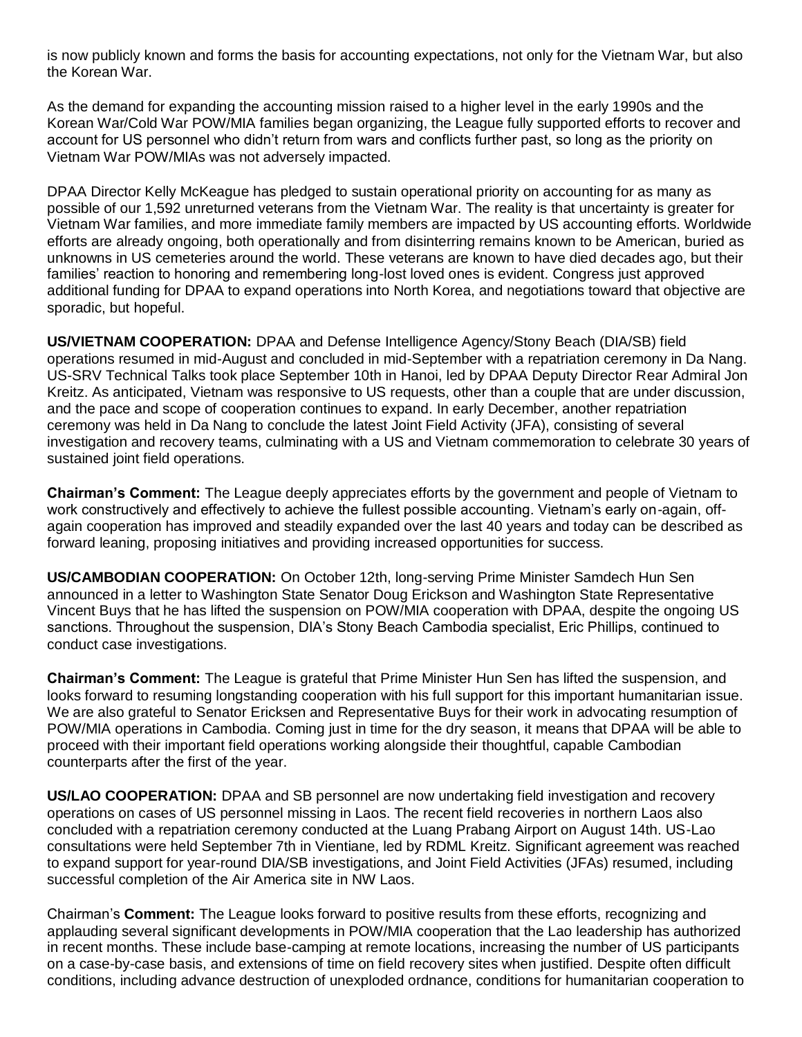is now publicly known and forms the basis for accounting expectations, not only for the Vietnam War, but also the Korean War.

As the demand for expanding the accounting mission raised to a higher level in the early 1990s and the Korean War/Cold War POW/MIA families began organizing, the League fully supported efforts to recover and account for US personnel who didn't return from wars and conflicts further past, so long as the priority on Vietnam War POW/MIAs was not adversely impacted.

DPAA Director Kelly McKeague has pledged to sustain operational priority on accounting for as many as possible of our 1,592 unreturned veterans from the Vietnam War. The reality is that uncertainty is greater for Vietnam War families, and more immediate family members are impacted by US accounting efforts. Worldwide efforts are already ongoing, both operationally and from disinterring remains known to be American, buried as unknowns in US cemeteries around the world. These veterans are known to have died decades ago, but their families' reaction to honoring and remembering long-lost loved ones is evident. Congress just approved additional funding for DPAA to expand operations into North Korea, and negotiations toward that objective are sporadic, but hopeful.

**US/VIETNAM COOPERATION:** DPAA and Defense Intelligence Agency/Stony Beach (DIA/SB) field operations resumed in mid-August and concluded in mid-September with a repatriation ceremony in Da Nang. US-SRV Technical Talks took place September 10th in Hanoi, led by DPAA Deputy Director Rear Admiral Jon Kreitz. As anticipated, Vietnam was responsive to US requests, other than a couple that are under discussion, and the pace and scope of cooperation continues to expand. In early December, another repatriation ceremony was held in Da Nang to conclude the latest Joint Field Activity (JFA), consisting of several investigation and recovery teams, culminating with a US and Vietnam commemoration to celebrate 30 years of sustained joint field operations.

**Chairman's Comment:** The League deeply appreciates efforts by the government and people of Vietnam to work constructively and effectively to achieve the fullest possible accounting. Vietnam's early on-again, offagain cooperation has improved and steadily expanded over the last 40 years and today can be described as forward leaning, proposing initiatives and providing increased opportunities for success.

**US/CAMBODIAN COOPERATION:** On October 12th, long-serving Prime Minister Samdech Hun Sen announced in a letter to Washington State Senator Doug Erickson and Washington State Representative Vincent Buys that he has lifted the suspension on POW/MIA cooperation with DPAA, despite the ongoing US sanctions. Throughout the suspension, DIA's Stony Beach Cambodia specialist, Eric Phillips, continued to conduct case investigations.

**Chairman's Comment:** The League is grateful that Prime Minister Hun Sen has lifted the suspension, and looks forward to resuming longstanding cooperation with his full support for this important humanitarian issue. We are also grateful to Senator Ericksen and Representative Buys for their work in advocating resumption of POW/MIA operations in Cambodia. Coming just in time for the dry season, it means that DPAA will be able to proceed with their important field operations working alongside their thoughtful, capable Cambodian counterparts after the first of the year.

**US/LAO COOPERATION:** DPAA and SB personnel are now undertaking field investigation and recovery operations on cases of US personnel missing in Laos. The recent field recoveries in northern Laos also concluded with a repatriation ceremony conducted at the Luang Prabang Airport on August 14th. US-Lao consultations were held September 7th in Vientiane, led by RDML Kreitz. Significant agreement was reached to expand support for year-round DIA/SB investigations, and Joint Field Activities (JFAs) resumed, including successful completion of the Air America site in NW Laos.

Chairman's **Comment:** The League looks forward to positive results from these efforts, recognizing and applauding several significant developments in POW/MIA cooperation that the Lao leadership has authorized in recent months. These include base-camping at remote locations, increasing the number of US participants on a case-by-case basis, and extensions of time on field recovery sites when justified. Despite often difficult conditions, including advance destruction of unexploded ordnance, conditions for humanitarian cooperation to